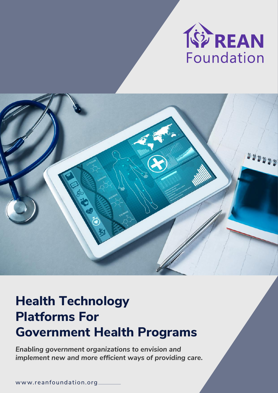



# **Health Technology Platforms For Government Health Programs**

*Enabling government organizations to envision and implement new and more efficient ways of providing care.*

w ww.reanfoundation.org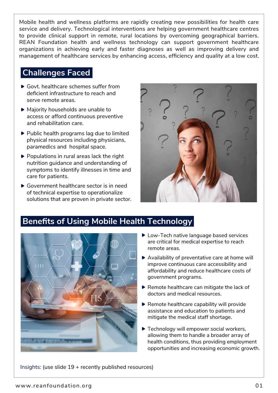Mobile health and wellness platforms are rapidly creating new possibilities for health care service and delivery. Technological interventions are helping government healthcare centres to provide clinical support in remote, rural locations by overcoming geographical barriers. REAN Foundation health and wellness technology can support government healthcare organizations in achieving early and faster diagnoses as well as improving delivery and management of healthcare services by enhancing access, efficiency and quality at a low cost.

#### **Challenges Faced**

- ▶ Govt. healthcare schemes suffer from deficient infrastructure to reach and serve remote areas.
- ▶ Majority households are unable to access or afford continuous preventive and rehabilitation care.
- ▶ Public health programs lag due to limited physical resources including physicians, paramedics and hospital space.
- $\triangleright$  Populations in rural areas lack the right nutrition guidance and understanding of symptoms to identify illnesses in time and care for patients.
- Government healthcare sector is in need of technical expertise to operationalize solutions that are proven in private sector.



### **Benefits of Using Mobile Health Technology**



- ▶ Low-Tech native language based services are critical for medical expertise to reach remote areas.
- ▶ Availability of preventative care at home will improve continuous care accessibility and affordability and reduce healthcare costs of government programs.
- $\blacktriangleright$  Remote healthcare can mitigate the lack of doctors and medical resources.
- $\blacktriangleright$  Remote healthcare capability will provide assistance and education to patients and mitigate the medical staff shortage.
- **Technology will empower social workers,** allowing them to handle a broader array of health conditions, thus providing employment opportunities and increasing economic growth.

Insights: (use slide 19 + recently published resources)